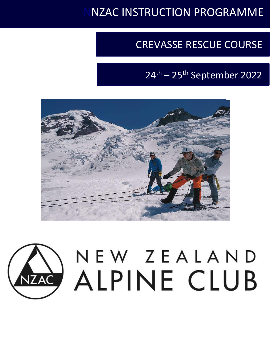# **NZAC INSTRUCTION PROGRAMME**

# CREVASSE RESCUE COURSE

# 24th – 25th September 2022



# NEW ZEALAND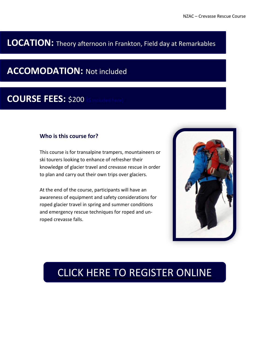### **LOCATION:** Theory afternoon in Frankton, Field day at Remarkables

## **ACCOMODATION:** Not included

## **COURSE FEES:** \$200 is

#### **Who is this course for?**

This course is for transalpine trampers, mountaineers or ski tourers looking to enhance of refresher their knowledge of glacier travel and crevasse rescue in order to plan and carry out their own trips over glaciers.

At the end of the course, participants will have an awareness of equipment and safety considerations for roped glacier travel in spring and summer conditions and emergency rescue techniques for roped and unroped crevasse falls.



## CLICK HERE TO [REGISTER](https://forms.gle/RyevqrYNvak35RAg9) ONLINE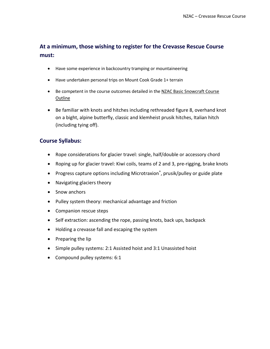#### **At a minimum, those wishing to register for the Crevasse Rescue Course must:**

- Have some experience in backcountry tramping or mountaineering
- Have undertaken personal trips on Mount Cook Grade 1+ terrain
- Be competent in the course outcomes detailed in the NZAC Basic [Snowcraft](https://alpineclub.org.nz/sites/default/files/2021-01/NZAC-Basic-Snowcraft.pdf) Course **[Outline](https://alpineclub.org.nz/sites/default/files/2021-01/NZAC-Basic-Snowcraft.pdf)**
- Be familiar with knots and hitches including rethreaded figure 8, overhand knot on a bight, alpine butterfly, classic and klemheist prusik hitches, Italian hitch (including tying off).

#### **Course Syllabus:**

- Rope considerations for glacier travel: single, half/double or accessory chord
- Roping up for glacier travel: Kiwi coils, teams of 2 and 3, pre-rigging, brake knots
- Progress capture options including Microtraxion®, prusik/pulley or guide plate
- Navigating glaciers theory
- Snow anchors
- Pulley system theory: mechanical advantage and friction
- Companion rescue steps
- Self extraction: ascending the rope, passing knots, back ups, backpack
- Holding a crevasse fall and escaping the system
- Preparing the lip
- Simple pulley systems: 2:1 Assisted hoist and 3:1 Unassisted hoist
- Compound pulley systems: 6:1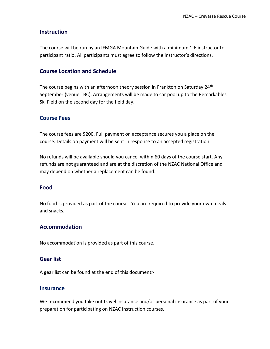#### **Instruction**

The course will be run by an IFMGA Mountain Guide with a minimum 1:6 instructor to participant ratio. All participants must agree to follow the instructor's directions.

#### **Course Location and Schedule**

The course begins with an afternoon theory session in Frankton on Saturday 24<sup>th</sup> September (venue TBC). Arrangements will be made to car pool up to the Remarkables Ski Field on the second day for the field day.

#### **Course Fees**

The course fees are \$200. Full payment on acceptance secures you a place on the course. Details on payment will be sent in response to an accepted registration.

No refunds will be available should you cancel within 60 days of the course start. Any refunds are not guaranteed and are at the discretion of the NZAC National Office and may depend on whether a replacement can be found.

#### **Food**

No food is provided as part of the course. You are required to provide your own meals and snacks.

#### **Accommodation**

No accommodation is provided as part of this course.

#### **Gear list**

A gear list can be found at the end of this document>

#### **Insurance**

We recommend you take out travel insurance and/or personal insurance as part of your preparation for participating on NZAC Instruction courses.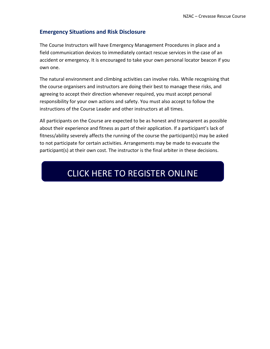#### **Emergency Situations and Risk Disclosure**

The Course Instructors will have Emergency Management Procedures in place and a field communication devices to immediately contact rescue services in the case of an accident or emergency. It is encouraged to take your own personal locator beacon if you own one.

The natural environment and climbing activities can involve risks. While recognising that the course organisers and instructors are doing their best to manage these risks, and agreeing to accept their direction whenever required, you must accept personal responsibility for your own actions and safety. You must also accept to follow the instructions of the Course Leader and other instructors at all times.

All participants on the Course are expected to be as honest and transparent as possible about their experience and fitness as part of their application. If a participant's lack of fitness/ability severely affects the running of the course the participant(s) may be asked to not participate for certain activities. Arrangements may be made to evacuate the participant(s) at their own cost. The instructor is the final arbiter in these decisions.

## CLICK HERE TO [REGISTER](https://forms.gle/RyevqrYNvak35RAg9) ONLINE